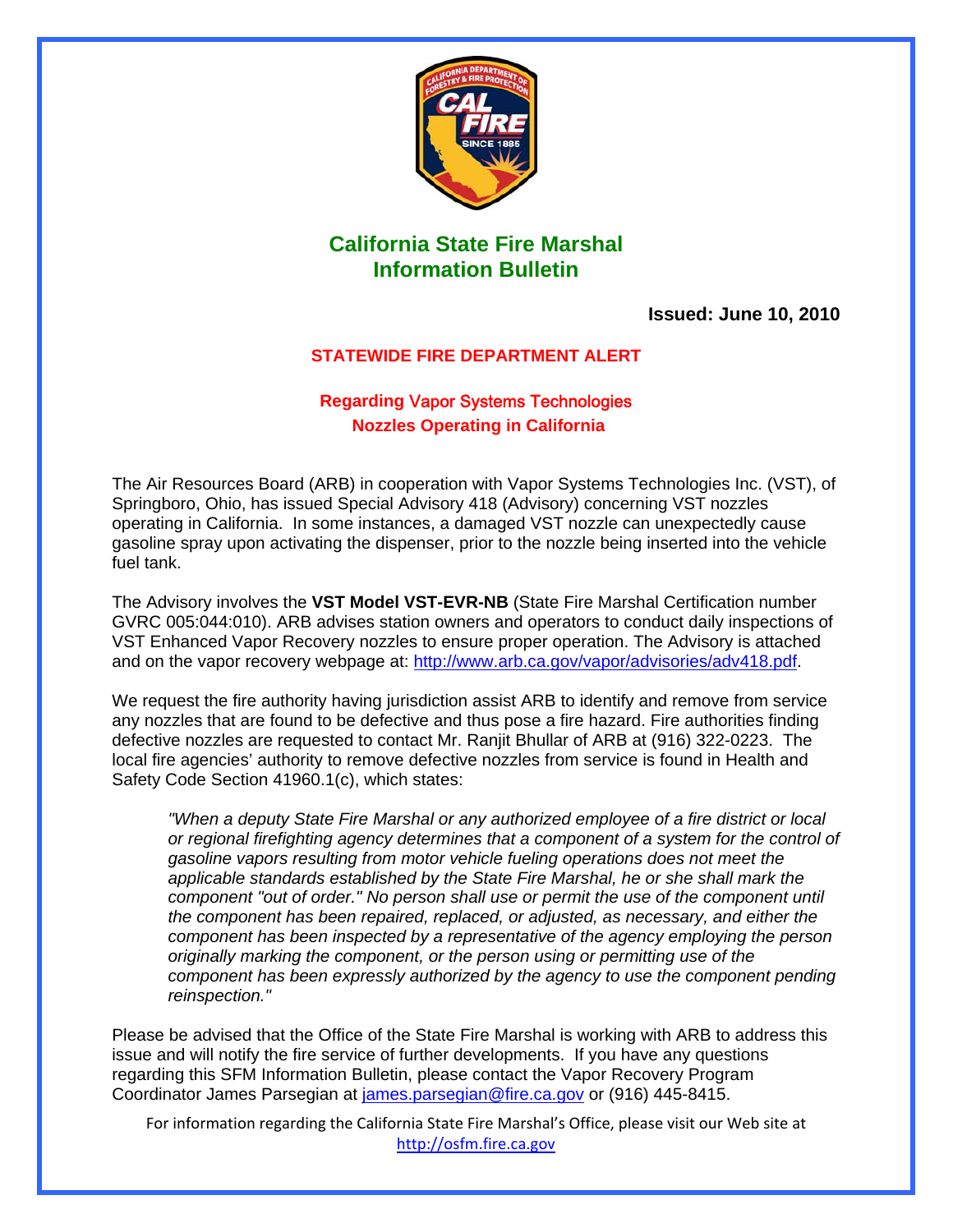

# **California State Fire Marshal Information Bulletin**

#### **Issued: June 10, 2010**

#### **STATEWIDE FIRE DEPARTMENT ALERT**

### **Regarding** Vapor Systems Technologies  **Nozzles Operating in California**

The Air Resources Board (ARB) in cooperation with Vapor Systems Technologies Inc. (VST), of Springboro, Ohio, has issued Special Advisory 418 (Advisory) concerning VST nozzles operating in California. In some instances, a damaged VST nozzle can unexpectedly cause gasoline spray upon activating the dispenser, prior to the nozzle being inserted into the vehicle fuel tank.

The Advisory involves the **VST Model VST-EVR-NB** (State Fire Marshal Certification number GVRC 005:044:010). ARB advises station owners and operators to conduct daily inspections of VST Enhanced Vapor Recovery nozzles to ensure proper operation. The Advisory is attached and on the vapor recovery webpage at: <http://www.arb.ca.gov/vapor/advisories/adv418.pdf>.

We request the fire authority having jurisdiction assist ARB to identify and remove from service any nozzles that are found to be defective and thus pose a fire hazard. Fire authorities finding defective nozzles are requested to contact Mr. Ranjit Bhullar of ARB at (916) 322-0223. The local fire agencies' authority to remove defective nozzles from service is found in Health and Safety Code Section 41960.1(c), which states:

*"When a deputy State Fire Marshal or any authorized employee of a fire district or local or regional firefighting agency determines that a component of a system for the control of gasoline vapors resulting from motor vehicle fueling operations does not meet the applicable standards established by the State Fire Marshal, he or she shall mark the component "out of order." No person shall use or permit the use of the component until the component has been repaired, replaced, or adjusted, as necessary, and either the component has been inspected by a representative of the agency employing the person originally marking the component, or the person using or permitting use of the component has been expressly authorized by the agency to use the component pending reinspection."* 

Please be advised that the Office of the State Fire Marshal is working with ARB to address this issue and will notify the fire service of further developments. If you have any questions regarding this SFM Information Bulletin, please contact the Vapor Recovery Program Coordinator James Parsegian at [james.parsegian@fire.ca.gov](mailto:james.parsegian@fire.ca.gov) or (916) 445-8415.

For information regarding the California State Fire Marshal's Office, please visit our Web site at http://osfm.fire.ca.gov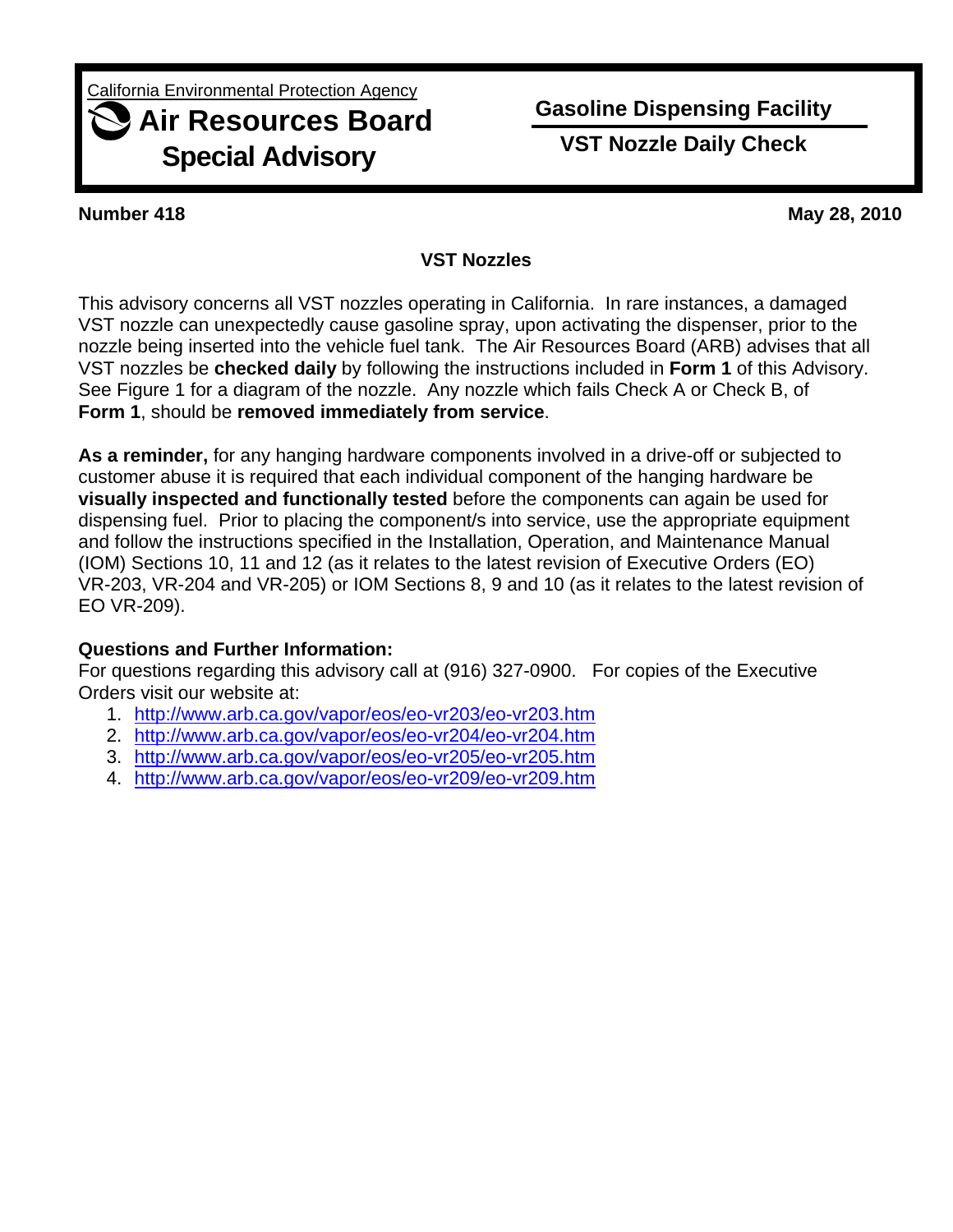California Environmental Protection Agency **Air Resources Board Special Advisory**

**Gasoline Dispensing Facility** 

**VST Nozzle Daily Check** 

**Number 418** May 28, 2010

## **VST Nozzles**

This advisory concerns all VST nozzles operating in California. In rare instances, a damaged VST nozzle can unexpectedly cause gasoline spray, upon activating the dispenser, prior to the nozzle being inserted into the vehicle fuel tank. The Air Resources Board (ARB) advises that all VST nozzles be **checked daily** by following the instructions included in **Form 1** of this Advisory. See Figure 1 for a diagram of the nozzle. Any nozzle which fails Check A or Check B, of **Form 1**, should be **removed immediately from service**.

**As a reminder,** for any hanging hardware components involved in a drive-off or subjected to customer abuse it is required that each individual component of the hanging hardware be **visually inspected and functionally tested** before the components can again be used for dispensing fuel. Prior to placing the component/s into service, use the appropriate equipment and follow the instructions specified in the Installation, Operation, and Maintenance Manual (IOM) Sections 10, 11 and 12 (as it relates to the latest revision of Executive Orders (EO) VR-203, VR-204 and VR-205) or IOM Sections 8, 9 and 10 (as it relates to the latest revision of EO VR-209).

## **Questions and Further Information:**

For questions regarding this advisory call at (916) 327-0900. For copies of the Executive Orders visit our website at:

- 1. [http://www.arb.ca.gov/vapor/eos/eo-vr203/eo-vr203.htm](http://www.arb.ca.gov/vapor/eos/eo%1Evr203/eo%1Evr203.htm)
- 2. <http://www.arb.ca.gov/vapor/eos/eo-vr204/eo-vr204.htm>
- 3. <http://www.arb.ca.gov/vapor/eos/eo-vr205/eo-vr205.htm>
- 4. <http://www.arb.ca.gov/vapor/eos/eo-vr209/eo-vr209.htm>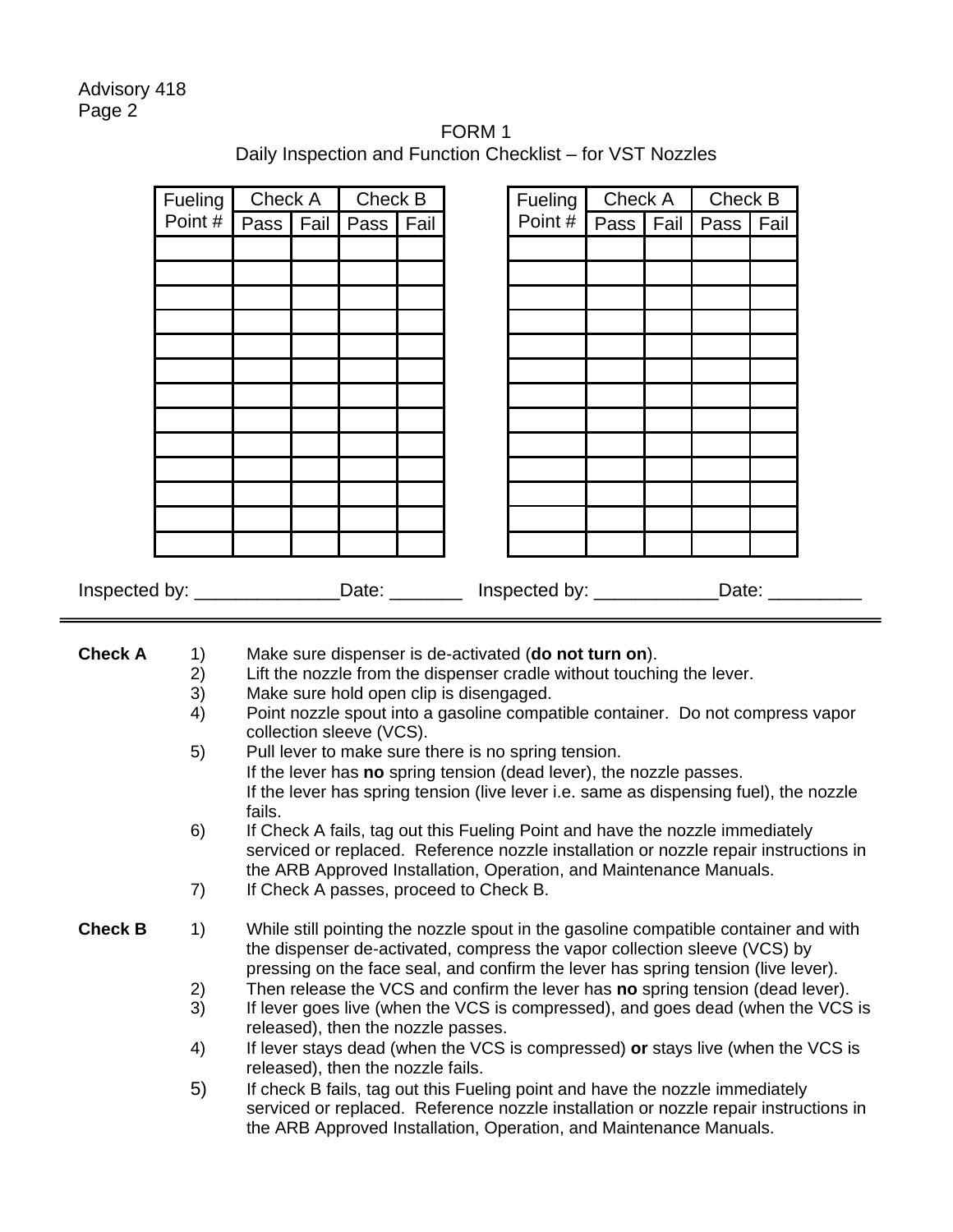| FORM 1                                                    |
|-----------------------------------------------------------|
| Daily Inspection and Function Checklist – for VST Nozzles |

|                | Fueling | Check A                                                                                                                                                                                                                                               |                                                                                       | Check B |      |  | Fueling                                                                              |                   | Check A |      | Check B |  |
|----------------|---------|-------------------------------------------------------------------------------------------------------------------------------------------------------------------------------------------------------------------------------------------------------|---------------------------------------------------------------------------------------|---------|------|--|--------------------------------------------------------------------------------------|-------------------|---------|------|---------|--|
|                | Point#  | Pass                                                                                                                                                                                                                                                  | Fail                                                                                  | Pass    | Fail |  | Point#                                                                               | Pass <sup>1</sup> | Fail    | Pass | Fail    |  |
|                |         |                                                                                                                                                                                                                                                       |                                                                                       |         |      |  |                                                                                      |                   |         |      |         |  |
|                |         |                                                                                                                                                                                                                                                       |                                                                                       |         |      |  |                                                                                      |                   |         |      |         |  |
|                |         |                                                                                                                                                                                                                                                       |                                                                                       |         |      |  |                                                                                      |                   |         |      |         |  |
|                |         |                                                                                                                                                                                                                                                       |                                                                                       |         |      |  |                                                                                      |                   |         |      |         |  |
|                |         |                                                                                                                                                                                                                                                       |                                                                                       |         |      |  |                                                                                      |                   |         |      |         |  |
|                |         |                                                                                                                                                                                                                                                       |                                                                                       |         |      |  |                                                                                      |                   |         |      |         |  |
|                |         |                                                                                                                                                                                                                                                       |                                                                                       |         |      |  |                                                                                      |                   |         |      |         |  |
|                |         |                                                                                                                                                                                                                                                       |                                                                                       |         |      |  |                                                                                      |                   |         |      |         |  |
|                |         |                                                                                                                                                                                                                                                       |                                                                                       |         |      |  |                                                                                      |                   |         |      |         |  |
|                |         |                                                                                                                                                                                                                                                       |                                                                                       |         |      |  |                                                                                      |                   |         |      |         |  |
|                |         |                                                                                                                                                                                                                                                       |                                                                                       |         |      |  |                                                                                      |                   |         |      |         |  |
|                |         |                                                                                                                                                                                                                                                       |                                                                                       |         |      |  |                                                                                      |                   |         |      |         |  |
|                |         | Inspected by: __________________Date: ___________ Inspected by: ________________<br>Date: <b>Date</b>                                                                                                                                                 |                                                                                       |         |      |  |                                                                                      |                   |         |      |         |  |
| <b>Check A</b> | 1)      |                                                                                                                                                                                                                                                       |                                                                                       |         |      |  |                                                                                      |                   |         |      |         |  |
|                | 2)      | Make sure dispenser is de-activated (do not turn on).<br>Lift the nozzle from the dispenser cradle without touching the lever.                                                                                                                        |                                                                                       |         |      |  |                                                                                      |                   |         |      |         |  |
|                | 3)      | Make sure hold open clip is disengaged.                                                                                                                                                                                                               |                                                                                       |         |      |  |                                                                                      |                   |         |      |         |  |
|                | 4)      | Point nozzle spout into a gasoline compatible container. Do not compress vapor<br>collection sleeve (VCS).                                                                                                                                            |                                                                                       |         |      |  |                                                                                      |                   |         |      |         |  |
|                | 5)      | Pull lever to make sure there is no spring tension.                                                                                                                                                                                                   |                                                                                       |         |      |  |                                                                                      |                   |         |      |         |  |
|                |         | If the lever has no spring tension (dead lever), the nozzle passes.                                                                                                                                                                                   |                                                                                       |         |      |  |                                                                                      |                   |         |      |         |  |
|                |         | fails.                                                                                                                                                                                                                                                | If the lever has spring tension (live lever i.e. same as dispensing fuel), the nozzle |         |      |  |                                                                                      |                   |         |      |         |  |
|                | 6)      |                                                                                                                                                                                                                                                       |                                                                                       |         |      |  | If Check A fails, tag out this Fueling Point and have the nozzle immediately         |                   |         |      |         |  |
|                |         |                                                                                                                                                                                                                                                       |                                                                                       |         |      |  | serviced or replaced. Reference nozzle installation or nozzle repair instructions in |                   |         |      |         |  |
|                | 7)      | the ARB Approved Installation, Operation, and Maintenance Manuals.<br>If Check A passes, proceed to Check B.                                                                                                                                          |                                                                                       |         |      |  |                                                                                      |                   |         |      |         |  |
|                |         |                                                                                                                                                                                                                                                       |                                                                                       |         |      |  |                                                                                      |                   |         |      |         |  |
| <b>Check B</b> | 1)      | While still pointing the nozzle spout in the gasoline compatible container and with<br>the dispenser de-activated, compress the vapor collection sleeve (VCS) by<br>pressing on the face seal, and confirm the lever has spring tension (live lever). |                                                                                       |         |      |  |                                                                                      |                   |         |      |         |  |
|                |         |                                                                                                                                                                                                                                                       |                                                                                       |         |      |  |                                                                                      |                   |         |      |         |  |
|                | 2)      |                                                                                                                                                                                                                                                       |                                                                                       |         |      |  | Then release the VCS and confirm the lever has no spring tension (dead lever).       |                   |         |      |         |  |
|                | 3)      | If lever goes live (when the VCS is compressed), and goes dead (when the VCS is<br>released), then the nozzle passes.                                                                                                                                 |                                                                                       |         |      |  |                                                                                      |                   |         |      |         |  |
|                | 4)      | If lever stays dead (when the VCS is compressed) or stays live (when the VCS is                                                                                                                                                                       |                                                                                       |         |      |  |                                                                                      |                   |         |      |         |  |
|                |         | released), then the nozzle fails.                                                                                                                                                                                                                     |                                                                                       |         |      |  |                                                                                      |                   |         |      |         |  |
|                | 5)      | If check B fails, tag out this Fueling point and have the nozzle immediately<br>serviced or replaced. Reference nozzle installation or nozzle repair instructions in                                                                                  |                                                                                       |         |      |  |                                                                                      |                   |         |      |         |  |
|                |         |                                                                                                                                                                                                                                                       |                                                                                       |         |      |  | the ARB Approved Installation, Operation, and Maintenance Manuals.                   |                   |         |      |         |  |
|                |         |                                                                                                                                                                                                                                                       |                                                                                       |         |      |  |                                                                                      |                   |         |      |         |  |